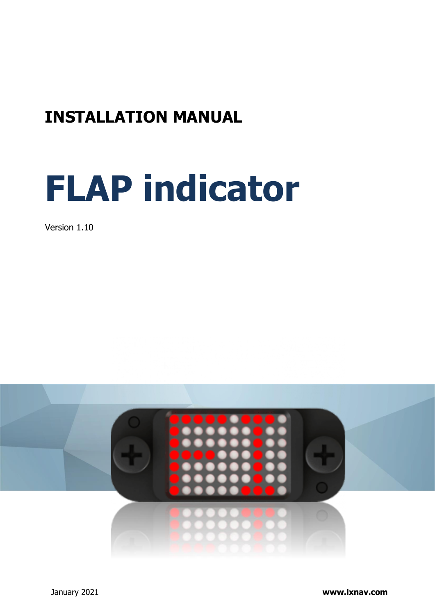# **INSTALLATION MANUAL**

# **FLAP indicator**

Version 1.10

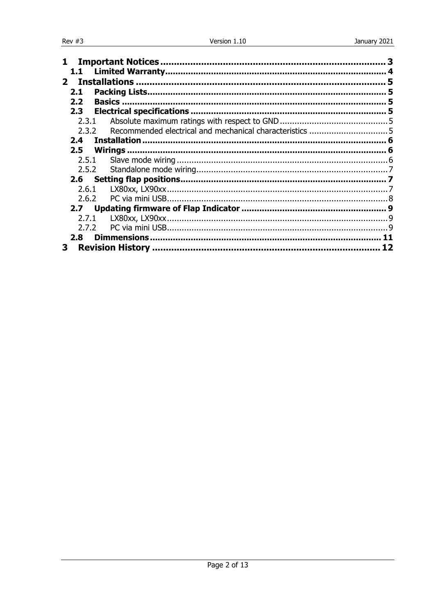| 1.            |                    |  |
|---------------|--------------------|--|
|               |                    |  |
|               |                    |  |
| 2.1           | 5                  |  |
| 2.2           |                    |  |
| 2.3           |                    |  |
| 2.3.1         |                    |  |
| 2.3.2         |                    |  |
| $2.4^{\circ}$ |                    |  |
| 2.5           |                    |  |
| 2.5.1         |                    |  |
| 2.5.2         |                    |  |
|               |                    |  |
| 2.6.1         |                    |  |
| 2.6.2         |                    |  |
|               |                    |  |
| 2.7.1         |                    |  |
| 2.7.2         |                    |  |
| 2.8           | <b>Dimmensions</b> |  |
| 3.            |                    |  |
|               |                    |  |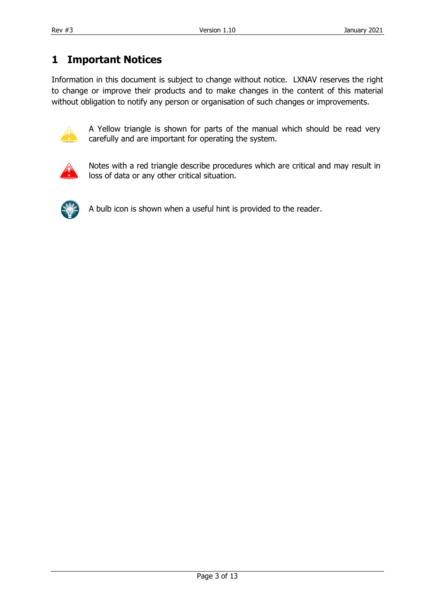## <span id="page-2-0"></span>**1 Important Notices**

Information in this document is subject to change without notice. LXNAV reserves the right to change or improve their products and to make changes in the content of this material without obligation to notify any person or organisation of such changes or improvements.



A Yellow triangle is shown for parts of the manual which should be read very carefully and are important for operating the system.



Notes with a red triangle describe procedures which are critical and may result in loss of data or any other critical situation.



A bulb icon is shown when a useful hint is provided to the reader.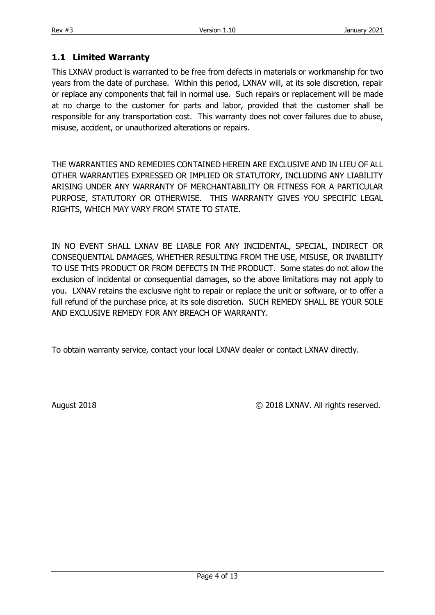#### <span id="page-3-0"></span>**1.1 Limited Warranty**

This LXNAV product is warranted to be free from defects in materials or workmanship for two years from the date of purchase. Within this period, LXNAV will, at its sole discretion, repair or replace any components that fail in normal use. Such repairs or replacement will be made at no charge to the customer for parts and labor, provided that the customer shall be responsible for any transportation cost. This warranty does not cover failures due to abuse, misuse, accident, or unauthorized alterations or repairs.

THE WARRANTIES AND REMEDIES CONTAINED HEREIN ARE EXCLUSIVE AND IN LIEU OF ALL OTHER WARRANTIES EXPRESSED OR IMPLIED OR STATUTORY, INCLUDING ANY LIABILITY ARISING UNDER ANY WARRANTY OF MERCHANTABILITY OR FITNESS FOR A PARTICULAR PURPOSE, STATUTORY OR OTHERWISE. THIS WARRANTY GIVES YOU SPECIFIC LEGAL RIGHTS, WHICH MAY VARY FROM STATE TO STATE.

IN NO EVENT SHALL LXNAV BE LIABLE FOR ANY INCIDENTAL, SPECIAL, INDIRECT OR CONSEQUENTIAL DAMAGES, WHETHER RESULTING FROM THE USE, MISUSE, OR INABILITY TO USE THIS PRODUCT OR FROM DEFECTS IN THE PRODUCT. Some states do not allow the exclusion of incidental or consequential damages, so the above limitations may not apply to you. LXNAV retains the exclusive right to repair or replace the unit or software, or to offer a full refund of the purchase price, at its sole discretion. SUCH REMEDY SHALL BE YOUR SOLE AND EXCLUSIVE REMEDY FOR ANY BREACH OF WARRANTY.

To obtain warranty service, contact your local LXNAV dealer or contact LXNAV directly.

August 2018 © 2018 LXNAV. All rights reserved.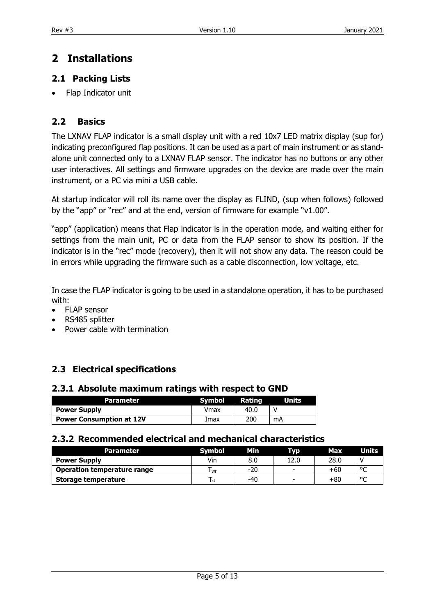# <span id="page-4-0"></span>**2 Installations**

#### <span id="page-4-1"></span>**2.1 Packing Lists**

• Flap Indicator unit

#### <span id="page-4-2"></span>**2.2 Basics**

The LXNAV FLAP indicator is a small display unit with a red 10x7 LED matrix display (sup for) indicating preconfigured flap positions. It can be used as a part of main instrument or as standalone unit connected only to a LXNAV FLAP sensor. The indicator has no buttons or any other user interactives. All settings and firmware upgrades on the device are made over the main instrument, or a PC via mini a USB cable.

At startup indicator will roll its name over the display as FLIND, (sup when follows) followed by the "app" or "rec" and at the end, version of firmware for example "v1.00".

"app" (application) means that Flap indicator is in the operation mode, and waiting either for settings from the main unit, PC or data from the FLAP sensor to show its position. If the indicator is in the "rec" mode (recovery), then it will not show any data. The reason could be in errors while upgrading the firmware such as a cable disconnection, low voltage, etc.

In case the FLAP indicator is going to be used in a standalone operation, it has to be purchased with:

- FLAP sensor
- RS485 splitter
- Power cable with termination

#### <span id="page-4-3"></span>**2.3 Electrical specifications**

#### <span id="page-4-4"></span>**2.3.1 Absolute maximum ratings with respect to GND**

| Parameter                       | <b>Symbol</b> | Rating | <b>Units</b> |
|---------------------------------|---------------|--------|--------------|
| <b>Power Supply</b>             | Vmax          | 40.0   |              |
| <b>Power Consumption at 12V</b> | Imax          | 200    | mA           |

#### <span id="page-4-5"></span>**2.3.2 Recommended electrical and mechanical characteristics**

| <b>Parameter</b>                   | .Svmbol | Min | <b>TVD</b>               | Max.  | Units  |
|------------------------------------|---------|-----|--------------------------|-------|--------|
| <b>Power Supply</b>                | Vin     | 8.0 | 12.0                     | 28.0  |        |
| <b>Operation temperature range</b> | l wr    | -20 | $\overline{\phantom{0}}$ | +60   | $\sim$ |
| Storage temperature                | l st    | -40 | $\overline{\phantom{0}}$ | $+80$ | $\sim$ |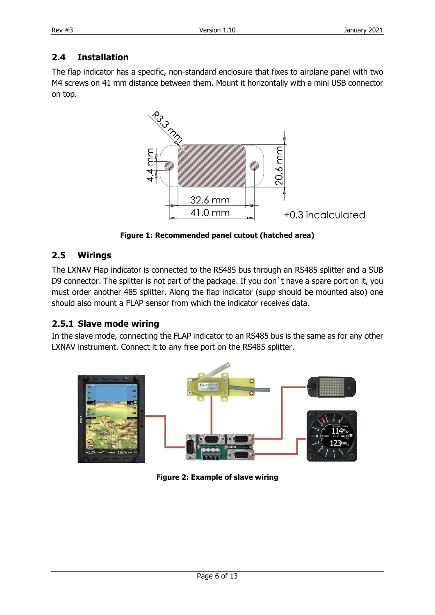### <span id="page-5-0"></span>**2.4 Installation**

The flap indicator has a specific, non-standard enclosure that fixes to airplane panel with two M4 screws on 41 mm distance between them. Mount it horizontally with a mini USB connector on top.



**Figure 1: Recommended panel cutout (hatched area)**

#### <span id="page-5-1"></span>**2.5 Wirings**

The LXNAV Flap indicator is connected to the RS485 bus through an RS485 splitter and a SUB D9 connector. The splitter is not part of the package. If you don't have a spare port on it, you must order another 485 splitter. Along the flap indicator (supp should be mounted also) one should also mount a FLAP sensor from which the indicator receives data.

#### <span id="page-5-2"></span>**2.5.1 Slave mode wiring**

In the slave mode, connecting the FLAP indicator to an RS485 bus is the same as for any other LXNAV instrument. Connect it to any free port on the RS485 splitter.



**Figure 2: Example of slave wiring**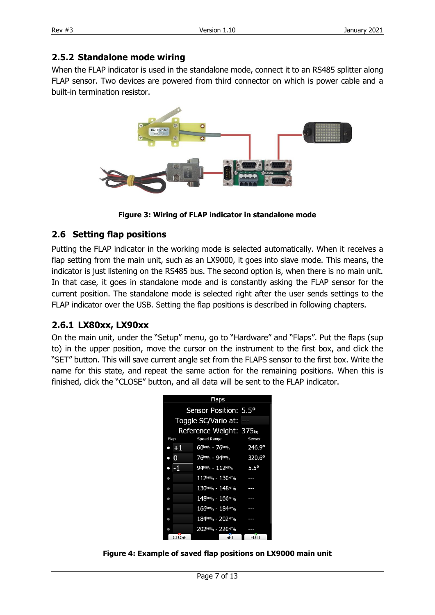#### <span id="page-6-0"></span>**2.5.2 Standalone mode wiring**

When the FLAP indicator is used in the standalone mode, connect it to an RS485 splitter along FLAP sensor. Two devices are powered from third connector on which is power cable and a built-in termination resistor.



**Figure 3: Wiring of FLAP indicator in standalone mode**

#### <span id="page-6-1"></span>**2.6 Setting flap positions**

Putting the FLAP indicator in the working mode is selected automatically. When it receives a flap setting from the main unit, such as an LX9000, it goes into slave mode. This means, the indicator is just listening on the RS485 bus. The second option is, when there is no main unit. In that case, it goes in standalone mode and is constantly asking the FLAP sensor for the current position. The standalone mode is selected right after the user sends settings to the FLAP indicator over the USB. Setting the flap positions is described in following chapters.

#### <span id="page-6-2"></span>**2.6.1 LX80xx, LX90xx**

On the main unit, under the "Setup" menu, go to "Hardware" and "Flaps". Put the flaps (sup to) in the upper position, move the cursor on the instrument to the first box, and click the "SET" button. This will save current angle set from the FLAPS sensor to the first box. Write the name for this state, and repeat the same action for the remaining positions. When this is finished, click the "CLOSE" button, and all data will be sent to the FLAP indicator.



**Figure 4: Example of saved flap positions on LX9000 main unit**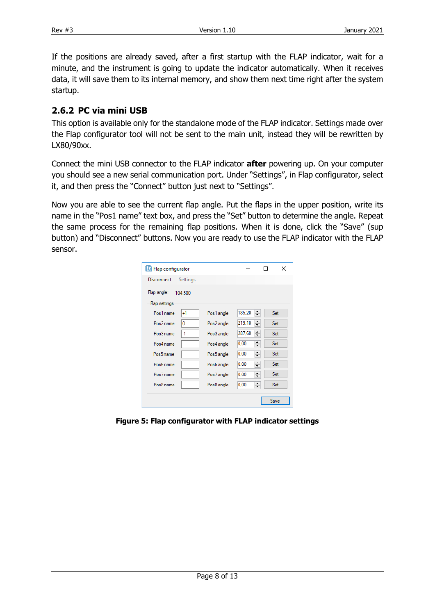If the positions are already saved, after a first startup with the FLAP indicator, wait for a minute, and the instrument is going to update the indicator automatically. When it receives data, it will save them to its internal memory, and show them next time right after the system startup.

#### <span id="page-7-0"></span>**2.6.2 PC via mini USB**

This option is available only for the standalone mode of the FLAP indicator. Settings made over the Flap configurator tool will not be sent to the main unit, instead they will be rewritten by LX80/90xx.

Connect the mini USB connector to the FLAP indicator **after** powering up. On your computer you should see a new serial communication port. Under "Settings", in Flap configurator, select it, and then press the "Connect" button just next to "Settings".

Now you are able to see the current flap angle. Put the flaps in the upper position, write its name in the "Pos1 name" text box, and press the "Set" button to determine the angle. Repeat the same process for the remaining flap positions. When it is done, click the "Save" (sup button) and "Disconnect" buttons. Now you are ready to use the FLAP indicator with the FLAP sensor.

| Flap configurator             |            |              | ×    |
|-------------------------------|------------|--------------|------|
| <b>Disconnect</b><br>Settings |            |              |      |
| Flap angle:<br>104.500        |            |              |      |
| Flap settings                 |            |              |      |
| Pos1 name<br>+1               | Pos1 angle | ≑∣<br>185,20 | Set  |
| 0<br>Pos2 name                | Pos2 angle | ÷<br>219.10  | Set  |
| -1<br>Pos3 name               | Pos3 angle | ÷۱<br>287,60 | Set  |
| Pos4 name                     | Pos4 angle | ≑∣<br>0.00   | Set  |
| Pos5 name                     | Pos5 angle | ÷<br>0.00    | Set  |
| Pos6 name                     | Pos6 angle | ÷<br>0.00    | Set  |
| Pos7 name                     | Pos7 angle | ÷<br>0.00    | Set  |
| Pos8 name                     | Pos8 angle | ÷<br>0.00    | Set  |
|                               |            |              |      |
|                               |            |              | Save |

**Figure 5: Flap configurator with FLAP indicator settings**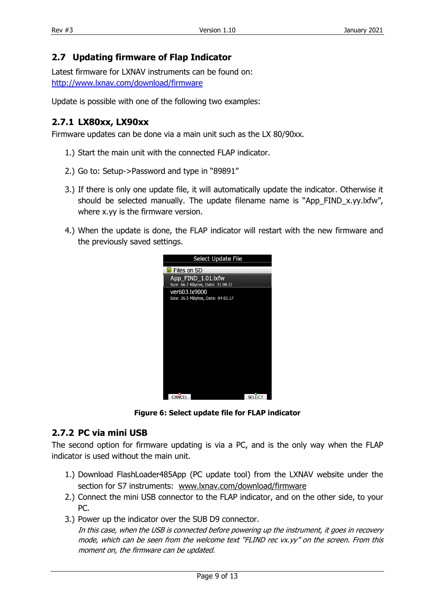#### <span id="page-8-0"></span>**2.7 Updating firmware of Flap Indicator**

Latest firmware for LXNAV instruments can be found on: <http://www.lxnav.com/download/firmware>

Update is possible with one of the following two examples:

#### <span id="page-8-1"></span>**2.7.1 LX80xx, LX90xx**

Firmware updates can be done via a main unit such as the LX 80/90xx.

- 1.) Start the main unit with the connected FLAP indicator.
- 2.) Go to: Setup->Password and type in "89891"
- 3.) If there is only one update file, it will automatically update the indicator. Otherwise it should be selected manually. The update filename name is "App\_FIND\_x.yy.lxfw", where x.yy is the firmware version.
- 4.) When the update is done, the FLAP indicator will restart with the new firmware and the previously saved settings.



**Figure 6: Select update file for FLAP indicator**

#### <span id="page-8-2"></span>**2.7.2 PC via mini USB**

The second option for firmware updating is via a PC, and is the only way when the FLAP indicator is used without the main unit.

- 1.) Download FlashLoader485App (PC update tool) from the LXNAV website under the section for S7 instruments: [www.lxnav.com/download/firmware](http://www.lxnav.com/download/firmware)
- 2.) Connect the mini USB connector to the FLAP indicator, and on the other side, to your PC.
- 3.) Power up the indicator over the SUB D9 connector.

In this case, when the USB is connected before powering up the instrument, it goes in recovery mode, which can be seen from the welcome text "FLIND rec vx.yy" on the screen. From this moment on, the firmware can be updated.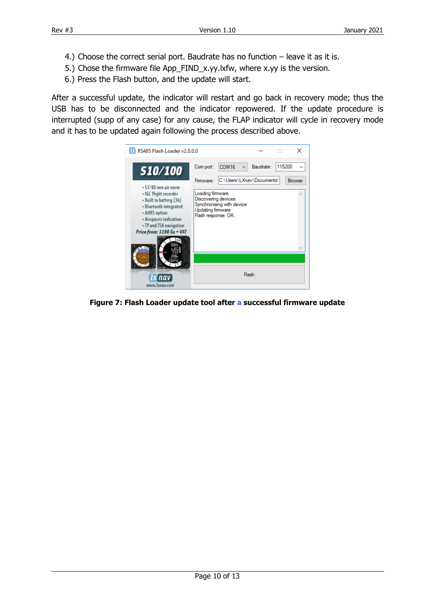- 4.) Choose the correct serial port. Baudrate has no function leave it as it is.
- 5.) Chose the firmware file App\_FIND\_x.yy.lxfw, where x.yy is the version.
- 6.) Press the Flash button, and the update will start.

After a successful update, the indicator will restart and go back in recovery mode; thus the USB has to be disconnected and the indicator repowered. If the update procedure is interrupted (supp of any case) for any cause, the FLAP indicator will cycle in recovery mode and it has to be updated again following the process described above.



**Figure 7: Flash Loader update tool after a successful firmware update**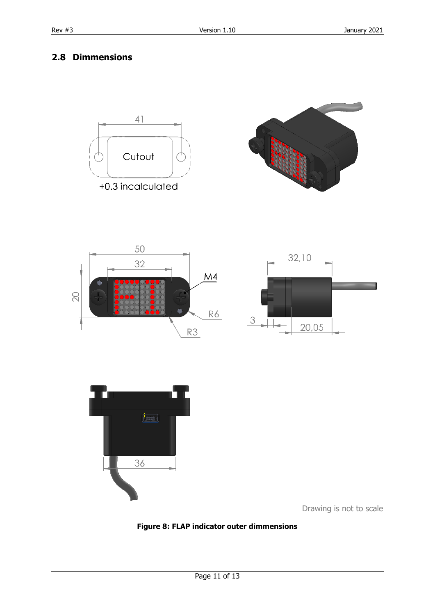### <span id="page-10-0"></span>**2.8 Dimmensions**











Drawing is not to scale

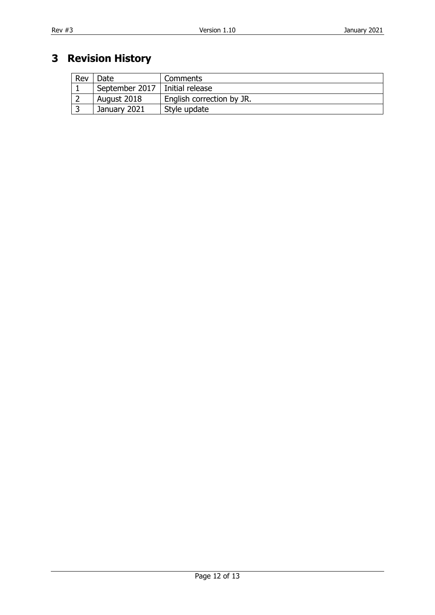# <span id="page-11-0"></span>**3 Revision History**

| Rev | Date                             | Comments                  |
|-----|----------------------------------|---------------------------|
|     | September 2017   Initial release |                           |
|     | August 2018                      | English correction by JR. |
|     | January 2021                     | Style update              |